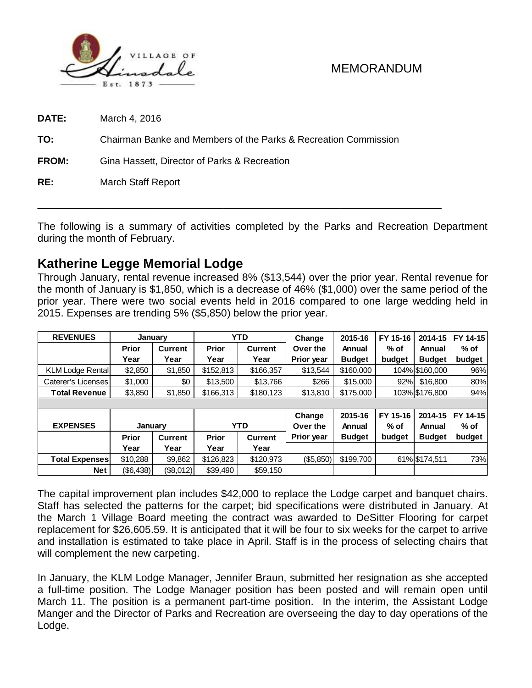

**DATE:** March 4, 2016

**TO:** Chairman Banke and Members of the Parks & Recreation Commission

**FROM:** Gina Hassett, Director of Parks & Recreation

**RE:** March Staff Report

The following is a summary of activities completed by the Parks and Recreation Department during the month of February.

\_\_\_\_\_\_\_\_\_\_\_\_\_\_\_\_\_\_\_\_\_\_\_\_\_\_\_\_\_\_\_\_\_\_\_\_\_\_\_\_\_\_\_\_\_\_\_\_\_\_\_\_\_\_\_\_\_\_\_\_\_\_\_\_\_\_\_\_\_\_\_\_\_\_\_\_

# **Katherine Legge Memorial Lodge**

Through January, rental revenue increased 8% (\$13,544) over the prior year. Rental revenue for the month of January is \$1,850, which is a decrease of 46% (\$1,000) over the same period of the prior year. There were two social events held in 2016 compared to one large wedding held in 2015. Expenses are trending 5% (\$5,850) below the prior year.

| <b>REVENUES</b>                                                                                                                                                                                                                                                                                                                                                                                                                                                                                                                                                 | January      |                | <b>YTD</b>   |                                    | Change                | 2015-16          | FY 15-16       | 2014-15       | FY 14-15 |  |  |
|-----------------------------------------------------------------------------------------------------------------------------------------------------------------------------------------------------------------------------------------------------------------------------------------------------------------------------------------------------------------------------------------------------------------------------------------------------------------------------------------------------------------------------------------------------------------|--------------|----------------|--------------|------------------------------------|-----------------------|------------------|----------------|---------------|----------|--|--|
|                                                                                                                                                                                                                                                                                                                                                                                                                                                                                                                                                                 | <b>Prior</b> | <b>Current</b> | <b>Prior</b> | <b>Current</b>                     | Over the              | Annual<br>$%$ of |                | Annual        | $%$ of   |  |  |
|                                                                                                                                                                                                                                                                                                                                                                                                                                                                                                                                                                 | Year         | Year           | Year         | Year                               | Prior year            | <b>Budget</b>    | budget         | <b>Budget</b> | budget   |  |  |
| <b>KLM Lodge Rental</b>                                                                                                                                                                                                                                                                                                                                                                                                                                                                                                                                         | \$2,850      | \$1,850        | \$152,813    | \$166,357<br>\$160,000<br>\$13,544 |                       | 104% \$160,000   | 96%            |               |          |  |  |
| <b>Caterer's Licenses</b>                                                                                                                                                                                                                                                                                                                                                                                                                                                                                                                                       | \$1,000      | \$0            | \$13,500     | \$13,766                           | \$266                 | \$15,000         | 92%            | \$16,800      | 80%      |  |  |
| <b>Total Revenue</b>                                                                                                                                                                                                                                                                                                                                                                                                                                                                                                                                            | \$3,850      | \$1,850        | \$166,313    | \$180,123                          | \$175,000<br>\$13,810 |                  | 103% \$176,800 | 94%           |          |  |  |
|                                                                                                                                                                                                                                                                                                                                                                                                                                                                                                                                                                 |              |                |              |                                    |                       |                  |                |               |          |  |  |
|                                                                                                                                                                                                                                                                                                                                                                                                                                                                                                                                                                 |              |                |              |                                    | Change                | 2015-16          | FY 15-16       | 2014-15       | FY 14-15 |  |  |
| <b>EXPENSES</b>                                                                                                                                                                                                                                                                                                                                                                                                                                                                                                                                                 | January      |                | <b>YTD</b>   |                                    | Over the              | Annual           | $%$ of         | Annual        | $%$ of   |  |  |
|                                                                                                                                                                                                                                                                                                                                                                                                                                                                                                                                                                 | <b>Prior</b> | <b>Current</b> | <b>Prior</b> | <b>Current</b>                     | Prior year            | <b>Budget</b>    | budget         | <b>Budget</b> | budget   |  |  |
|                                                                                                                                                                                                                                                                                                                                                                                                                                                                                                                                                                 | Year         | Year           | Year         | Year                               |                       |                  |                |               |          |  |  |
| <b>Total Expenses</b>                                                                                                                                                                                                                                                                                                                                                                                                                                                                                                                                           | \$10,288     | \$9,862        | \$126,823    | \$120,973                          | (\$5,850)             | \$199,700        | 61% \$174,511  |               | 73%      |  |  |
| <b>Net</b>                                                                                                                                                                                                                                                                                                                                                                                                                                                                                                                                                      | (\$6,438)    | (\$8,012)      | \$39,490     | \$59,150                           |                       |                  |                |               |          |  |  |
| The capital improvement plan includes \$42,000 to replace the Lodge carpet and banquet chairs.<br>Staff has selected the patterns for the carpet; bid specifications were distributed in January. At<br>the March 1 Village Board meeting the contract was awarded to DeSitter Flooring for carpet<br>replacement for \$26,605.59. It is anticipated that it will be four to six weeks for the carpet to arrive<br>and installation is estimated to take place in April. Staff is in the process of selecting chairs that<br>will complement the new carpeting. |              |                |              |                                    |                       |                  |                |               |          |  |  |
| In January, the KLM Lodge Manager, Jennifer Braun, submitted her resignation as she accepted<br>a full-time position. The Lodge Manager position has been posted and will remain open until<br>March 11. The position is a permanent part-time position. In the interim, the Assistant Lodge<br>Manger and the Director of Parks and Recreation are overseeing the day to day operations of the<br>Lodge.                                                                                                                                                       |              |                |              |                                    |                       |                  |                |               |          |  |  |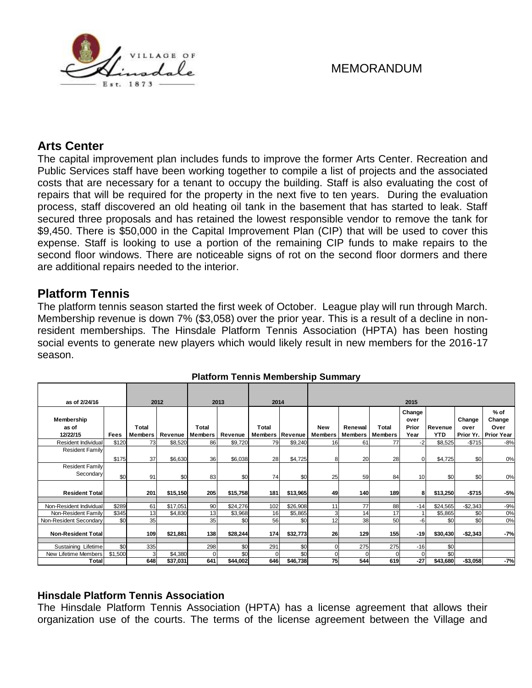

## **Arts Center**

The capital improvement plan includes funds to improve the former Arts Center. Recreation and Public Services staff have been working together to compile a list of projects and the associated costs that are necessary for a tenant to occupy the building. Staff is also evaluating the cost of repairs that will be required for the property in the next five to ten years. During the evaluation process, staff discovered an old heating oil tank in the basement that has started to leak. Staff secured three proposals and has retained the lowest responsible vendor to remove the tank for \$9,450. There is \$50,000 in the Capital Improvement Plan (CIP) that will be used to cover this expense. Staff is looking to use a portion of the remaining CIP funds to make repairs to the second floor windows. There are noticeable signs of rot on the second floor dormers and there are additional repairs needed to the interior.

## **Platform Tennis**

The platform tennis season started the first week of October. League play will run through March. Membership revenue is down 7% (\$3,058) over the prior year. This is a result of a decline in nonresident memberships. The Hinsdale Platform Tennis Association (HPTA) has been hosting social events to generate new players which would likely result in new members for the 2016-17 season.

| as of 2/24/16                       |             | 2012                    |          | 2013                    |          | 2014                            |          | 2015                  |                           |                         |                                 |                       |                |                                                  |
|-------------------------------------|-------------|-------------------------|----------|-------------------------|----------|---------------------------------|----------|-----------------------|---------------------------|-------------------------|---------------------------------|-----------------------|----------------|--------------------------------------------------|
| Membership<br>as of<br>12/22/15     | <b>Fees</b> | Total<br><b>Members</b> | Revenue  | Total<br><b>Members</b> | Revenue  | Total<br><b>Members Revenue</b> |          | <b>New</b><br>Members | Renewal<br><b>Members</b> | Total<br><b>Members</b> | Change<br>over<br>Prior<br>Year | Revenue<br><b>YTD</b> | Change<br>over | $%$ of<br>Change<br>Over<br>Prior Yr. Prior Year |
| Resident Individual                 | \$120       | 73                      | \$8,520  | 86                      | \$9,720  | 79                              | \$9,240  | 16                    | 61                        | 77                      | $-2$                            | \$8,525               | $-$715$        | $-8%$                                            |
| <b>Resident Family</b>              | \$175       | 37                      | \$6,630  | 36                      | \$6,038  | 28                              | \$4,725  | 8                     | 20                        | 28                      | $\Omega$                        | \$4,725               | \$0            | 0%                                               |
| <b>Resident Family</b><br>Secondary | \$0         | 91                      | \$0      | 83                      | \$0      | 74                              | \$0      | 25                    | 59                        | 84                      | 10 <sup>1</sup>                 | \$0                   | \$0            | 0%                                               |
| <b>Resident Total</b>               |             | 201                     | \$15,150 | 205                     | \$15,758 | 181                             | \$13,965 | 49                    | 140                       | 189                     | 8                               | \$13,250              | $-$715$        | $-5%$                                            |
| Non-Resident Individual             | \$289       | 61                      | \$17,051 | 90                      | \$24,276 | 102                             | \$26,908 | 11                    | 77                        | 88                      | $-14$                           | \$24,565              | $-$2,343$      | $-9%$                                            |
| Non-Resident Family                 | \$345       | 13                      | \$4,830  | 13                      | \$3,968  | 16                              | \$5,865  | 3                     | 14                        | 17                      |                                 | \$5,865               | \$0            | 0%                                               |
| Non-Resident Secondary              | \$0         | 35                      |          | 35                      | \$0      | 56                              | \$0      | 12                    | 38                        | 50                      | -6                              | \$0                   | \$0            | 0%                                               |
| <b>Non-Resident Totall</b>          |             | 109                     | \$21,881 | 138                     | \$28,244 | 174                             | \$32,773 | 26                    | 129                       | 155                     | $-19$                           | \$30,430              | $-$2,343$      | $-7%$                                            |
| Sustaining Lifetime                 | \$0         | 335                     |          | 298                     | \$0      | 291                             | \$0      | $\Omega$              | 275                       | 275                     | $-16$                           | \$0                   |                |                                                  |
| New Lifetime Members                | \$1,500     | 3                       | \$4,380  | $\Omega$                | \$0      |                                 | \$0      | $\Omega$              |                           | $\Omega$                | $\Omega$                        | \$0                   |                |                                                  |
| Total                               |             | 648                     | \$37,031 | 641                     | \$44,002 | 646                             | \$46,738 | 75                    | 544                       | 619                     | $-27$                           | \$43,680              | $-$3,058$      | $-7%$                                            |

#### **Platform Tennis Membership Summary**

### **Hinsdale Platform Tennis Association**

The Hinsdale Platform Tennis Association (HPTA) has a license agreement that allows their organization use of the courts. The terms of the license agreement between the Village and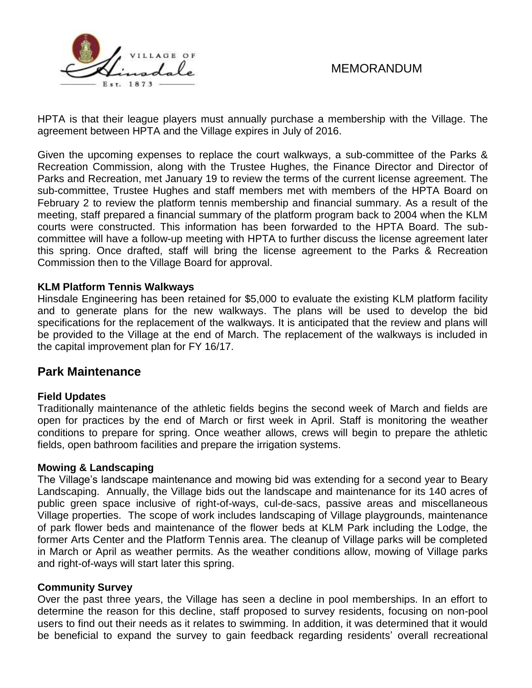

HPTA is that their league players must annually purchase a membership with the Village. The agreement between HPTA and the Village expires in July of 2016.

Given the upcoming expenses to replace the court walkways, a sub-committee of the Parks & Recreation Commission, along with the Trustee Hughes, the Finance Director and Director of Parks and Recreation, met January 19 to review the terms of the current license agreement. The sub-committee, Trustee Hughes and staff members met with members of the HPTA Board on February 2 to review the platform tennis membership and financial summary. As a result of the meeting, staff prepared a financial summary of the platform program back to 2004 when the KLM courts were constructed. This information has been forwarded to the HPTA Board. The subcommittee will have a follow-up meeting with HPTA to further discuss the license agreement later this spring. Once drafted, staff will bring the license agreement to the Parks & Recreation Commission then to the Village Board for approval.

### **KLM Platform Tennis Walkways**

Hinsdale Engineering has been retained for \$5,000 to evaluate the existing KLM platform facility and to generate plans for the new walkways. The plans will be used to develop the bid specifications for the replacement of the walkways. It is anticipated that the review and plans will be provided to the Village at the end of March. The replacement of the walkways is included in the capital improvement plan for FY 16/17.

### **Park Maintenance**

### **Field Updates**

Traditionally maintenance of the athletic fields begins the second week of March and fields are open for practices by the end of March or first week in April. Staff is monitoring the weather conditions to prepare for spring. Once weather allows, crews will begin to prepare the athletic fields, open bathroom facilities and prepare the irrigation systems.

### **Mowing & Landscaping**

The Village's landscape maintenance and mowing bid was extending for a second year to Beary Landscaping. Annually, the Village bids out the landscape and maintenance for its 140 acres of public green space inclusive of right-of-ways, cul-de-sacs, passive areas and miscellaneous Village properties. The scope of work includes landscaping of Village playgrounds, maintenance of park flower beds and maintenance of the flower beds at KLM Park including the Lodge, the former Arts Center and the Platform Tennis area. The cleanup of Village parks will be completed in March or April as weather permits. As the weather conditions allow, mowing of Village parks and right-of-ways will start later this spring.

### **Community Survey**

Over the past three years, the Village has seen a decline in pool memberships. In an effort to determine the reason for this decline, staff proposed to survey residents, focusing on non-pool users to find out their needs as it relates to swimming. In addition, it was determined that it would be beneficial to expand the survey to gain feedback regarding residents' overall recreational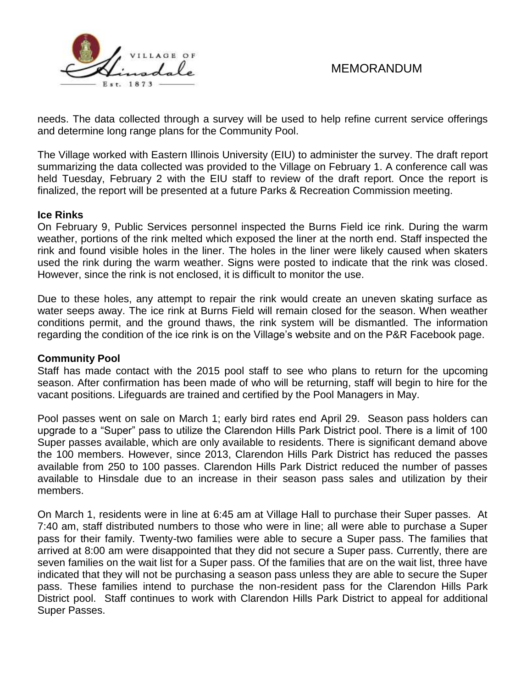

needs. The data collected through a survey will be used to help refine current service offerings and determine long range plans for the Community Pool.

The Village worked with Eastern Illinois University (EIU) to administer the survey. The draft report summarizing the data collected was provided to the Village on February 1. A conference call was held Tuesday, February 2 with the EIU staff to review of the draft report. Once the report is finalized, the report will be presented at a future Parks & Recreation Commission meeting.

### **Ice Rinks**

On February 9, Public Services personnel inspected the Burns Field ice rink. During the warm weather, portions of the rink melted which exposed the liner at the north end. Staff inspected the rink and found visible holes in the liner. The holes in the liner were likely caused when skaters used the rink during the warm weather. Signs were posted to indicate that the rink was closed. However, since the rink is not enclosed, it is difficult to monitor the use.

Due to these holes, any attempt to repair the rink would create an uneven skating surface as water seeps away. The ice rink at Burns Field will remain closed for the season. When weather conditions permit, and the ground thaws, the rink system will be dismantled. The information regarding the condition of the ice rink is on the Village's website and on the P&R Facebook page.

### **Community Pool**

Staff has made contact with the 2015 pool staff to see who plans to return for the upcoming season. After confirmation has been made of who will be returning, staff will begin to hire for the vacant positions. Lifeguards are trained and certified by the Pool Managers in May.

Pool passes went on sale on March 1; early bird rates end April 29. Season pass holders can upgrade to a "Super" pass to utilize the Clarendon Hills Park District pool. There is a limit of 100 Super passes available, which are only available to residents. There is significant demand above the 100 members. However, since 2013, Clarendon Hills Park District has reduced the passes available from 250 to 100 passes. Clarendon Hills Park District reduced the number of passes available to Hinsdale due to an increase in their season pass sales and utilization by their members.

On March 1, residents were in line at 6:45 am at Village Hall to purchase their Super passes. At 7:40 am, staff distributed numbers to those who were in line; all were able to purchase a Super pass for their family. Twenty-two families were able to secure a Super pass. The families that arrived at 8:00 am were disappointed that they did not secure a Super pass. Currently, there are seven families on the wait list for a Super pass. Of the families that are on the wait list, three have indicated that they will not be purchasing a season pass unless they are able to secure the Super pass. These families intend to purchase the non-resident pass for the Clarendon Hills Park District pool. Staff continues to work with Clarendon Hills Park District to appeal for additional Super Passes.